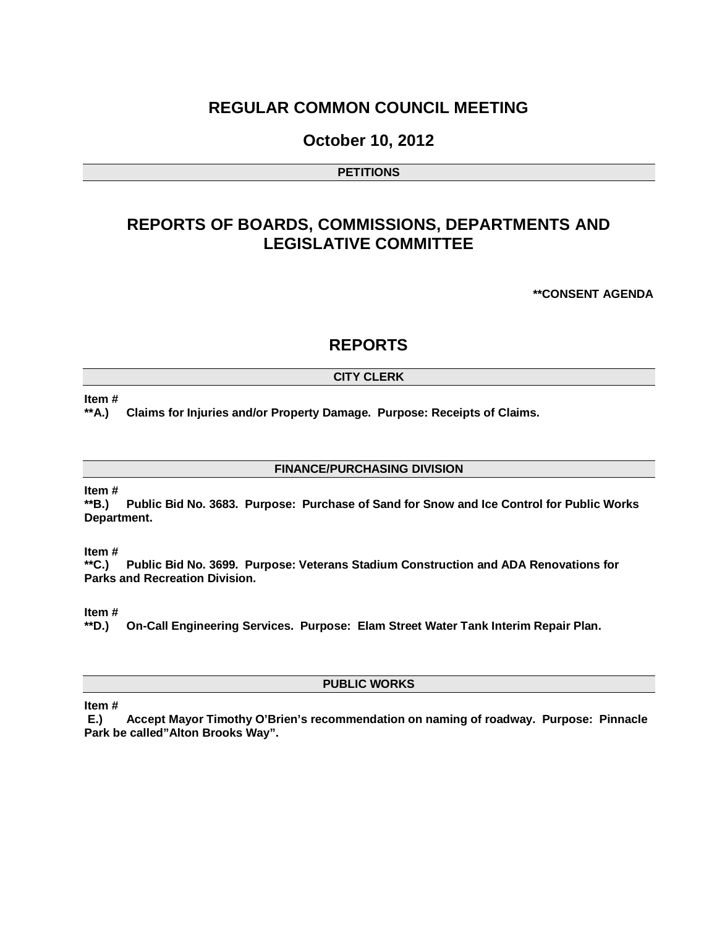## **REGULAR COMMON COUNCIL MEETING**

### **October 10, 2012**

#### **PETITIONS**

# **REPORTS OF BOARDS, COMMISSIONS, DEPARTMENTS AND LEGISLATIVE COMMITTEE**

**\*\*CONSENT AGENDA**

### **REPORTS**

#### **CITY CLERK**

**Item #**

**\*\*A.) Claims for Injuries and/or Property Damage. Purpose: Receipts of Claims.**

**FINANCE/PURCHASING DIVISION**

#### **Item #**

**\*\*B.) Public Bid No. 3683. Purpose: Purchase of Sand for Snow and Ice Control for Public Works Department.**

# **Item #**<br>\*\*C.)

**\*\*C.) Public Bid No. 3699. Purpose: Veterans Stadium Construction and ADA Renovations for Parks and Recreation Division.**

**Item #**

**\*\*D.) On-Call Engineering Services. Purpose: Elam Street Water Tank Interim Repair Plan.** 

#### **PUBLIC WORKS**

**Item #**

**E.) Accept Mayor Timothy O'Brien's recommendation on naming of roadway. Purpose: Pinnacle Park be called"Alton Brooks Way".**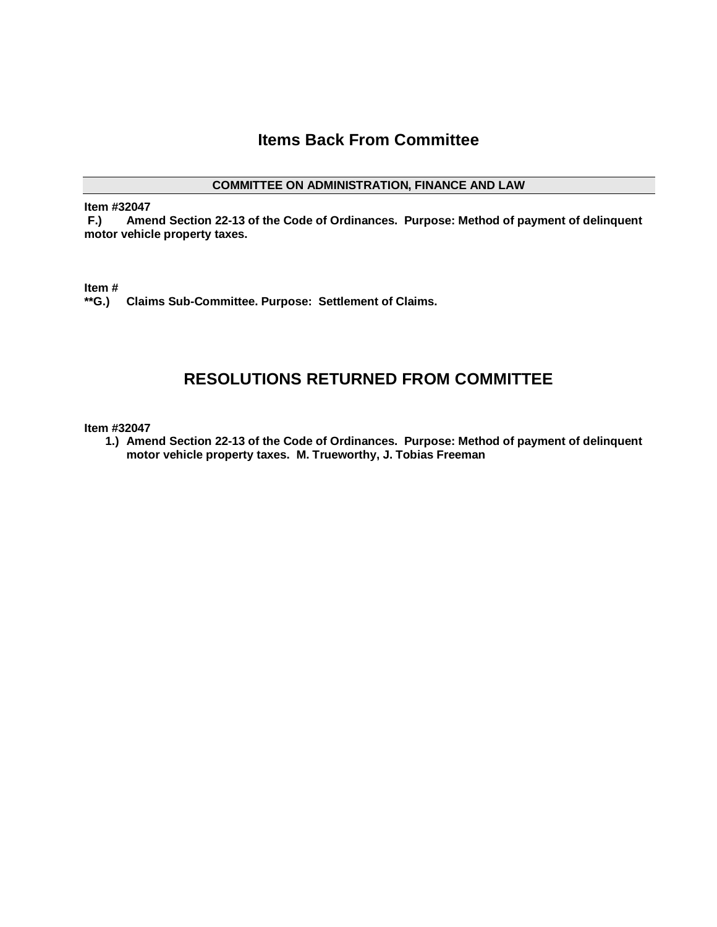# **Items Back From Committee**

#### **COMMITTEE ON ADMINISTRATION, FINANCE AND LAW**

**Item #32047**

**F.) Amend Section 22-13 of the Code of Ordinances. Purpose: Method of payment of delinquent motor vehicle property taxes.**

**Item #**

**\*\*G.) Claims Sub-Committee. Purpose: Settlement of Claims.**

### **RESOLUTIONS RETURNED FROM COMMITTEE**

**Item #32047**

**1.) Amend Section 22-13 of the Code of Ordinances. Purpose: Method of payment of delinquent motor vehicle property taxes. M. Trueworthy, J. Tobias Freeman**